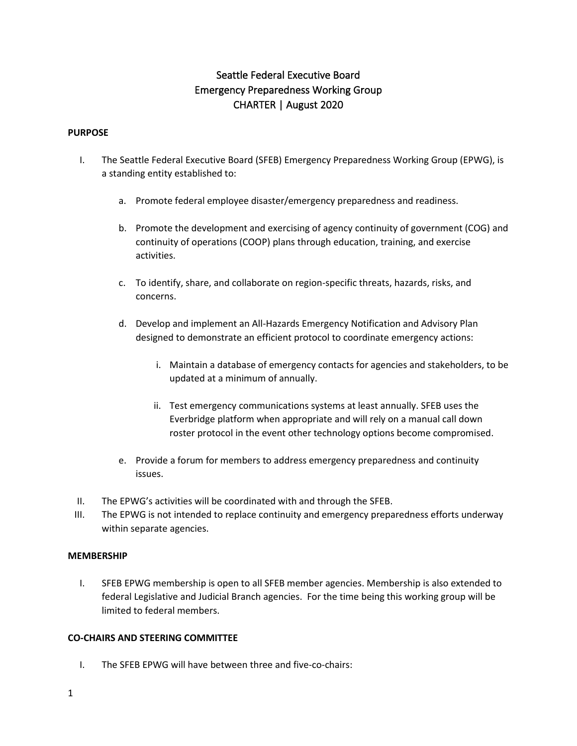# Seattle Federal Executive Board Emergency Preparedness Working Group CHARTER | August 2020

#### **PURPOSE**

- I. The Seattle Federal Executive Board (SFEB) Emergency Preparedness Working Group (EPWG), is a standing entity established to:
	- a. Promote federal employee disaster/emergency preparedness and readiness.
	- b. Promote the development and exercising of agency continuity of government (COG) and continuity of operations (COOP) plans through education, training, and exercise activities.
	- c. To identify, share, and collaborate on region-specific threats, hazards, risks, and concerns.
	- d. Develop and implement an All-Hazards Emergency Notification and Advisory Plan designed to demonstrate an efficient protocol to coordinate emergency actions:
		- i. Maintain a database of emergency contacts for agencies and stakeholders, to be updated at a minimum of annually.
		- ii. Test emergency communications systems at least annually. SFEB uses the Everbridge platform when appropriate and will rely on a manual call down roster protocol in the event other technology options become compromised.
	- e. Provide a forum for members to address emergency preparedness and continuity issues.
- II. The EPWG's activities will be coordinated with and through the SFEB.
- III. The EPWG is not intended to replace continuity and emergency preparedness efforts underway within separate agencies.

#### **MEMBERSHIP**

I. SFEB EPWG membership is open to all SFEB member agencies. Membership is also extended to federal Legislative and Judicial Branch agencies. For the time being this working group will be limited to federal members.

### **CO-CHAIRS AND STEERING COMMITTEE**

I. The SFEB EPWG will have between three and five-co-chairs: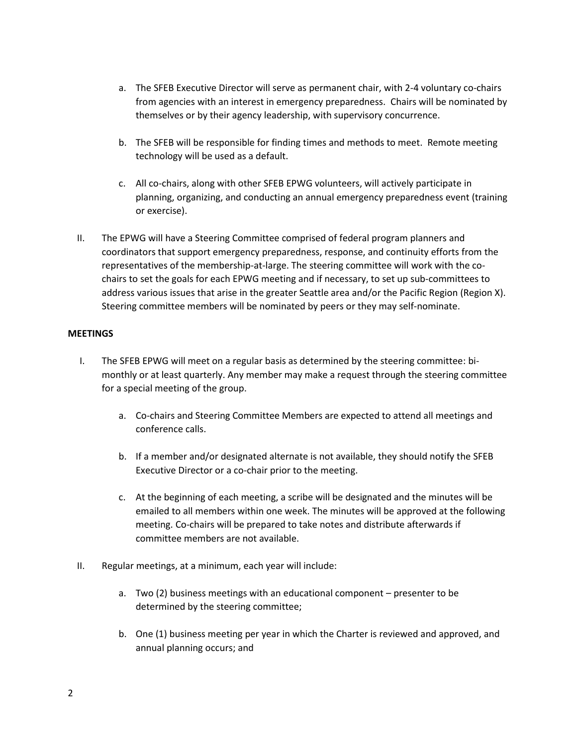- a. The SFEB Executive Director will serve as permanent chair, with 2-4 voluntary co-chairs from agencies with an interest in emergency preparedness. Chairs will be nominated by themselves or by their agency leadership, with supervisory concurrence.
- b. The SFEB will be responsible for finding times and methods to meet. Remote meeting technology will be used as a default.
- c. All co-chairs, along with other SFEB EPWG volunteers, will actively participate in planning, organizing, and conducting an annual emergency preparedness event (training or exercise).
- II. The EPWG will have a Steering Committee comprised of federal program planners and coordinators that support emergency preparedness, response, and continuity efforts from the representatives of the membership-at-large. The steering committee will work with the cochairs to set the goals for each EPWG meeting and if necessary, to set up sub-committees to address various issues that arise in the greater Seattle area and/or the Pacific Region (Region X). Steering committee members will be nominated by peers or they may self-nominate.

# **MEETINGS**

- I. The SFEB EPWG will meet on a regular basis as determined by the steering committee: bimonthly or at least quarterly. Any member may make a request through the steering committee for a special meeting of the group.
	- a. Co-chairs and Steering Committee Members are expected to attend all meetings and conference calls.
	- b. If a member and/or designated alternate is not available, they should notify the SFEB Executive Director or a co-chair prior to the meeting.
	- c. At the beginning of each meeting, a scribe will be designated and the minutes will be emailed to all members within one week. The minutes will be approved at the following meeting. Co-chairs will be prepared to take notes and distribute afterwards if committee members are not available.
- II. Regular meetings, at a minimum, each year will include:
	- a. Two (2) business meetings with an educational component presenter to be determined by the steering committee;
	- b. One (1) business meeting per year in which the Charter is reviewed and approved, and annual planning occurs; and